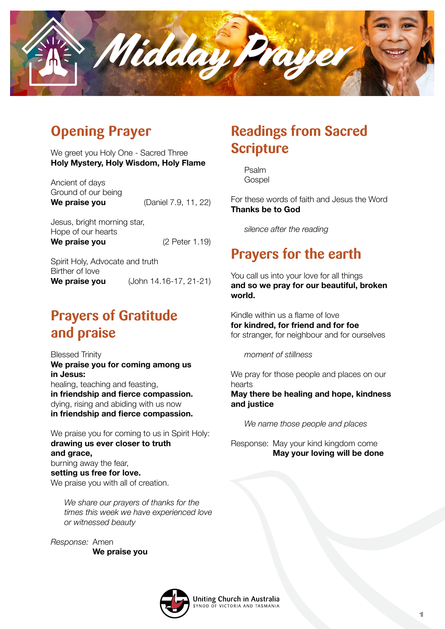

# **Opening Prayer**

We greet you Holy One - Sacred Three **Holy Mystery, Holy Wisdom, Holy Flame**

Ancient of days Ground of our being **We praise you** (Daniel 7.9, 11, 22)

Jesus, bright morning star, Hope of our hearts **We praise you** (2 Peter 1.19)

Spirit Holy, Advocate and truth Birther of love **We praise you** (John 14.16-17, 21-21)

## **Prayers of Gratitude and praise**

Blessed Trinity **We praise you for coming among us in Jesus:** healing, teaching and feasting, **in friendship and fierce compassion.** dying, rising and abiding with us now **in friendship and fierce compassion.**

We praise you for coming to us in Spirit Holy: **drawing us ever closer to truth and grace,** burning away the fear, **setting us free for love.** We praise you with all of creation.

*We share our prayers of thanks for the times this week we have experienced love or witnessed beauty*

*Response:* Amen  **We praise you**

### **Readings from Sacred Scripture**

Psalm **Gospel** 

For these words of faith and Jesus the Word **Thanks be to God**

*silence after the reading*

### **Prayers for the earth**

You call us into your love for all things **and so we pray for our beautiful, broken world.**

Kindle within us a flame of love **for kindred, for friend and for foe** for stranger, for neighbour and for ourselves

*moment of stillness*

We pray for those people and places on our hearts **May there be healing and hope, kindness and justice**

*We name those people and places*

Response: May your kind kingdom come  **May your loving will be done**